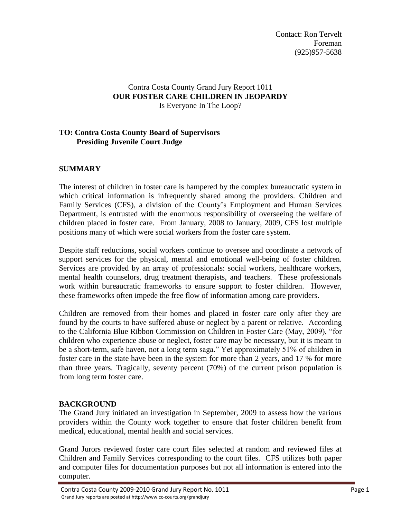# Contra Costa County Grand Jury Report 1011 **OUR FOSTER CARE CHILDREN IN JEOPARDY** Is Everyone In The Loop?

# **TO: Contra Costa County Board of Supervisors Presiding Juvenile Court Judge**

# **SUMMARY**

The interest of children in foster care is hampered by the complex bureaucratic system in which critical information is infrequently shared among the providers. Children and Family Services (CFS), a division of the County's Employment and Human Services Department, is entrusted with the enormous responsibility of overseeing the welfare of children placed in foster care. From January, 2008 to January, 2009, CFS lost multiple positions many of which were social workers from the foster care system.

Despite staff reductions, social workers continue to oversee and coordinate a network of support services for the physical, mental and emotional well-being of foster children. Services are provided by an array of professionals: social workers, healthcare workers, mental health counselors, drug treatment therapists, and teachers. These professionals work within bureaucratic frameworks to ensure support to foster children. However, these frameworks often impede the free flow of information among care providers.

Children are removed from their homes and placed in foster care only after they are found by the courts to have suffered abuse or neglect by a parent or relative. According to the California Blue Ribbon Commission on Children in Foster Care (May, 2009), "for children who experience abuse or neglect, foster care may be necessary, but it is meant to be a short-term, safe haven, not a long term saga." Yet approximately 51% of children in foster care in the state have been in the system for more than 2 years, and 17 % for more than three years. Tragically, seventy percent (70%) of the current prison population is from long term foster care.

#### **BACKGROUND**

The Grand Jury initiated an investigation in September, 2009 to assess how the various providers within the County work together to ensure that foster children benefit from medical, educational, mental health and social services.

Grand Jurors reviewed foster care court files selected at random and reviewed files at Children and Family Services corresponding to the court files. CFS utilizes both paper and computer files for documentation purposes but not all information is entered into the computer.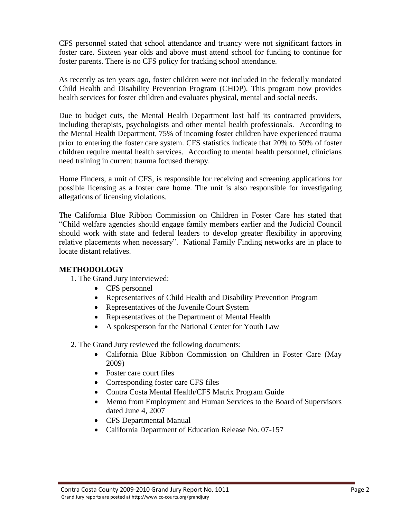CFS personnel stated that school attendance and truancy were not significant factors in foster care. Sixteen year olds and above must attend school for funding to continue for foster parents. There is no CFS policy for tracking school attendance.

As recently as ten years ago, foster children were not included in the federally mandated Child Health and Disability Prevention Program (CHDP). This program now provides health services for foster children and evaluates physical, mental and social needs.

Due to budget cuts, the Mental Health Department lost half its contracted providers, including therapists, psychologists and other mental health professionals. According to the Mental Health Department, 75% of incoming foster children have experienced trauma prior to entering the foster care system. CFS statistics indicate that 20% to 50% of foster children require mental health services. According to mental health personnel, clinicians need training in current trauma focused therapy.

Home Finders, a unit of CFS, is responsible for receiving and screening applications for possible licensing as a foster care home. The unit is also responsible for investigating allegations of licensing violations.

The California Blue Ribbon Commission on Children in Foster Care has stated that "Child welfare agencies should engage family members earlier and the Judicial Council should work with state and federal leaders to develop greater flexibility in approving relative placements when necessary". National Family Finding networks are in place to locate distant relatives.

# **METHODOLOGY**

1. The Grand Jury interviewed:

- CFS personnel
- Representatives of Child Health and Disability Prevention Program
- Representatives of the Juvenile Court System
- Representatives of the Department of Mental Health
- A spokesperson for the National Center for Youth Law

2. The Grand Jury reviewed the following documents:

- California Blue Ribbon Commission on Children in Foster Care (May 2009)
- Foster care court files
- Corresponding foster care CFS files
- Contra Costa Mental Health/CFS Matrix Program Guide
- Memo from Employment and Human Services to the Board of Supervisors dated June 4, 2007
- CFS Departmental Manual
- California Department of Education Release No. 07-157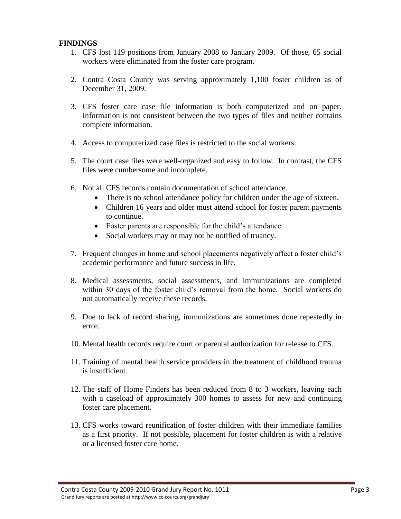### **FINDINGS**

- 1. CFS lost 119 positions from January 2008 to January 2009. Of those, 65 social workers were eliminated from the foster care program.
- 2. Contra Costa County was serving approximately 1,100 foster children as of December 31, 2009.
- 3. CFS foster care case file information is both computerized and on paper. Information is not consistent between the two types of files and neither contains complete information.
- 4. Access to computerized case files is restricted to the social workers.
- 5. The court case files were well-organized and easy to follow. In contrast, the CFS files were cumbersome and incomplete.
- 6. Not all CFS records contain documentation of school attendance.
	- There is no school attendance policy for children under the age of sixteen.
	- Children 16 years and older must attend school for foster parent payments to continue.
	- Foster parents are responsible for the child's attendance.
	- Social workers may or may not be notified of truancy.
- 7. Frequent changes in home and school placements negatively affect a foster child's academic performance and future success in life.
- 8. Medical assessments, social assessments, and immunizations are completed within 30 days of the foster child's removal from the home. Social workers do not automatically receive these records.
- 9. Due to lack of record sharing, immunizations are sometimes done repeatedly in error.
- 10. Mental health records require court or parental authorization for release to CFS.
- 11. Training of mental health service providers in the treatment of childhood trauma is insufficient.
- 12. The staff of Home Finders has been reduced from 8 to 3 workers, leaving each with a caseload of approximately 300 homes to assess for new and continuing foster care placement.
- 13. CFS works toward reunification of foster children with their immediate families as a first priority. If not possible, placement for foster children is with a relative or a licensed foster care home.